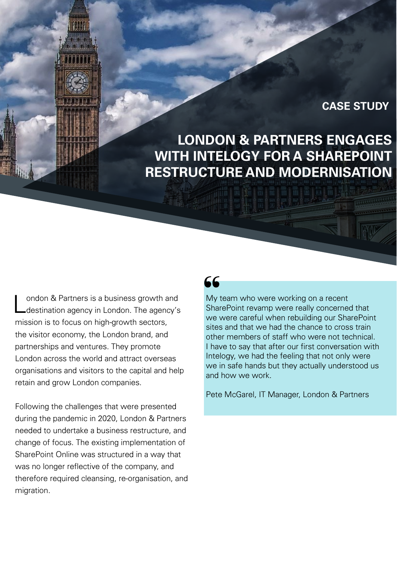#### **CASE STUDY**

# **LONDON & PARTNERS ENGAGES WITH INTELOGY FOR A SHAREPOINT RESTRUCTURE AND MODERNISATION**

London & Partners is a business growth and<br>Lotestination agency in London. The agency's mission is to focus on high-growth sectors, the visitor economy, the London brand, and partnerships and ventures. They promote London across the world and attract overseas organisations and visitors to the capital and help retain and grow London companies.

Following the challenges that were presented during the pandemic in 2020, London & Partners needed to undertake a business restructure, and change of focus. The existing implementation of SharePoint Online was structured in a way that was no longer reflective of the company, and therefore required cleansing, re-organisation, and migration.

## 66

My team who were working on a recent SharePoint revamp were really concerned that we were careful when rebuilding our SharePoint sites and that we had the chance to cross train other members of staff who were not technical. I have to say that after our first conversation with Intelogy, we had the feeling that not only were we in safe hands but they actually understood us and how we work.

Pete McGarel, IT Manager, London & Partners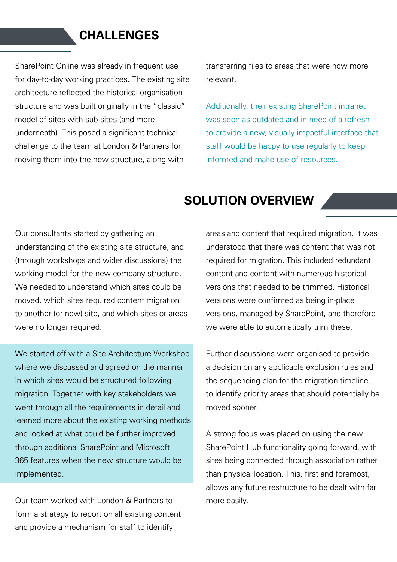#### **CHALLENGES**

SharePoint Online was already in frequent use for day-to-day working practices. The existing site architecture reflected the historical organisation structure and was built originally in the "classic" model of sites with sub-sites (and more underneath). This posed a significant technical challenge to the team at London & Partners for moving them into the new structure, along with

transferring files to areas that were now more relevant.

Additionally, their existing SharePoint intranet was seen as outdated and in need of a refresh to provide a new, visually-impactful interface that staff would be happy to use regularly to keep informed and make use of resources.

#### **SOLUTION OVERVIEW**

Our consultants started by gathering an understanding of the existing site structure, and (through workshops and wider discussions) the working model for the new company structure. We needed to understand which sites could be moved, which sites required content migration to another (or new) site, and which sites or areas were no longer required.

We started off with a Site Architecture Workshop where we discussed and agreed on the manner in which sites would be structured following migration. Together with key stakeholders we went through all the requirements in detail and learned more about the existing working methods and looked at what could be further improved through additional SharePoint and Microsoft 365 features when the new structure would be implemented.

Our team worked with London & Partners to form a strategy to report on all existing content and provide a mechanism for staff to identify

areas and content that required migration. It was understood that there was content that was not required for migration. This included redundant content and content with numerous historical versions that needed to be trimmed. Historical versions were confirmed as being in-place versions, managed by SharePoint, and therefore we were able to automatically trim these.

Further discussions were organised to provide a decision on any applicable exclusion rules and the sequencing plan for the migration timeline, to identify priority areas that should potentially be moved sooner.

A strong focus was placed on using the new SharePoint Hub functionality going forward, with sites being connected through association rather than physical location. This, first and foremost, allows any future restructure to be dealt with far more easily.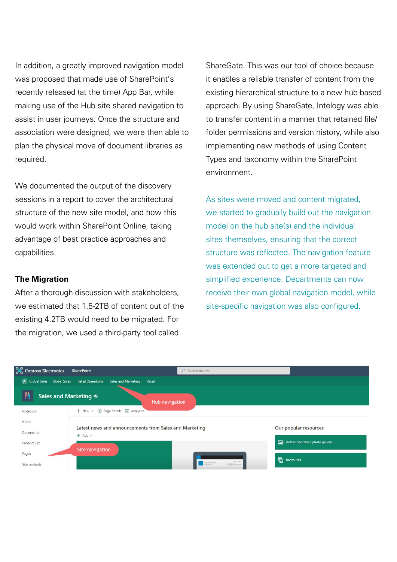In addition, a greatly improved navigation model was proposed that made use of SharePoint's recently released (at the time) App Bar, while making use of the Hub site shared navigation to assist in user journeys. Once the structure and association were designed, we were then able to plan the physical move of document libraries as required.

We documented the output of the discovery sessions in a report to cover the architectural structure of the new site model, and how this would work within SharePoint Online, taking advantage of best practice approaches and capabilities.

#### **The Migration**

After a thorough discussion with stakeholders, we estimated that 1.5-2TB of content out of the existing 4.2TB would need to be migrated. For the migration, we used a third-party tool called

ShareGate. This was our tool of choice because it enables a reliable transfer of content from the existing hierarchical structure to a new hub-based approach. By using ShareGate, Intelogy was able to transfer content in a manner that retained file/ folder permissions and version history, while also implementing new methods of using Content Types and taxonomy within the SharePoint environment.

As sites were moved and content migrated, we started to gradually build out the navigation model on the hub site(s) and the individual sites themselves, ensuring that the correct structure was reflected. The navigation feature was extended out to get a more targeted and simplified experience. Departments can now receive their own global navigation model, while site-specific navigation was also configured.

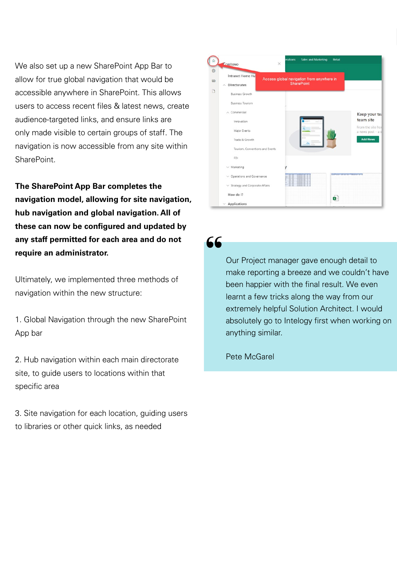We also set up a new SharePoint App Bar to allow for true global navigation that would be accessible anywhere in SharePoint. This allows users to access recent files & latest news, create audience-targeted links, and ensure links are only made visible to certain groups of staff. The navigation is now accessible from any site within **SharePoint** 

**The SharePoint App Bar completes the navigation model, allowing for site navigation, hub navigation and global navigation. All of these can now be configured and updated by any staff permitted for each area and do not require an administrator.** 

Ultimately, we implemented three methods of navigation within the new structure:

1. Global Navigation through the new SharePoint App bar

2. Hub navigation within each main directorate site, to guide users to locations within that specific area

3. Site navigation for each location, guiding users to libraries or other quick links, as needed



66

Our Project manager gave enough detail to make reporting a breeze and we couldn't have been happier with the final result. We even learnt a few tricks along the way from our extremely helpful Solution Architect. I would absolutely go to Intelogy first when working on anything similar.

Pete McGarel